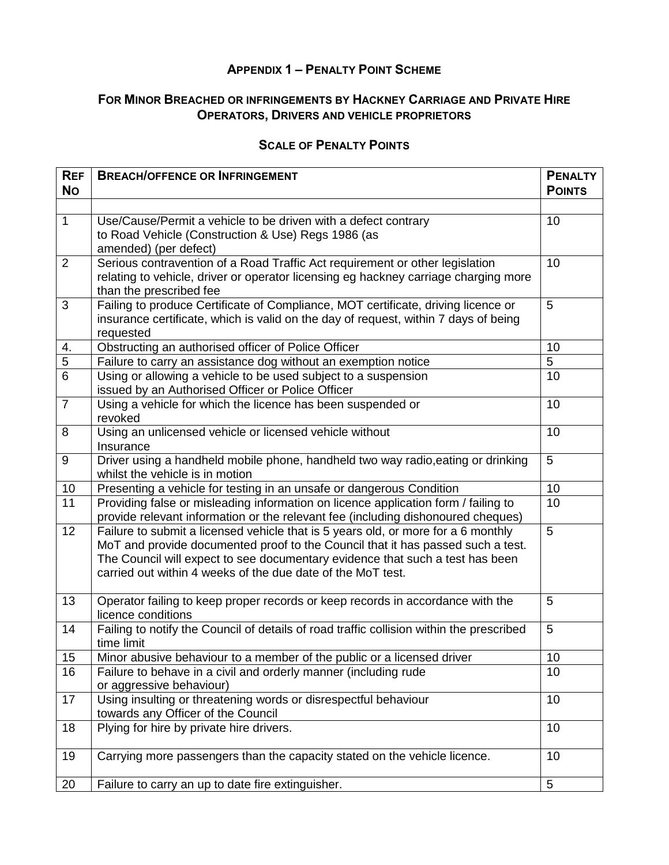## **APPENDIX 1 – PENALTY POINT SCHEME**

## **FOR MINOR BREACHED OR INFRINGEMENTS BY HACKNEY CARRIAGE AND PRIVATE HIRE OPERATORS, DRIVERS AND VEHICLE PROPRIETORS**

## **SCALE OF PENALTY POINTS**

| <b>REF</b><br><b>No</b> | <b>BREACH/OFFENCE OR INFRINGEMENT</b>                                                                                                                                                                                                                                                                                | <b>PENALTY</b><br><b>POINTS</b> |
|-------------------------|----------------------------------------------------------------------------------------------------------------------------------------------------------------------------------------------------------------------------------------------------------------------------------------------------------------------|---------------------------------|
|                         |                                                                                                                                                                                                                                                                                                                      |                                 |
| $\mathbf{1}$            | Use/Cause/Permit a vehicle to be driven with a defect contrary<br>to Road Vehicle (Construction & Use) Regs 1986 (as<br>amended) (per defect)                                                                                                                                                                        | 10                              |
| $\overline{2}$          | Serious contravention of a Road Traffic Act requirement or other legislation<br>relating to vehicle, driver or operator licensing eg hackney carriage charging more<br>than the prescribed fee                                                                                                                       | 10                              |
| 3                       | Failing to produce Certificate of Compliance, MOT certificate, driving licence or<br>insurance certificate, which is valid on the day of request, within 7 days of being<br>requested                                                                                                                                | 5                               |
| 4.                      | Obstructing an authorised officer of Police Officer                                                                                                                                                                                                                                                                  | 10                              |
| $\overline{5}$          | Failure to carry an assistance dog without an exemption notice                                                                                                                                                                                                                                                       | 5                               |
| $\overline{6}$          | Using or allowing a vehicle to be used subject to a suspension<br>issued by an Authorised Officer or Police Officer                                                                                                                                                                                                  | 10                              |
| $\overline{7}$          | Using a vehicle for which the licence has been suspended or<br>revoked                                                                                                                                                                                                                                               | 10                              |
| 8                       | Using an unlicensed vehicle or licensed vehicle without<br>Insurance                                                                                                                                                                                                                                                 | 10                              |
| $9\,$                   | Driver using a handheld mobile phone, handheld two way radio, eating or drinking<br>whilst the vehicle is in motion                                                                                                                                                                                                  | 5                               |
| 10                      | Presenting a vehicle for testing in an unsafe or dangerous Condition                                                                                                                                                                                                                                                 | 10                              |
| 11                      | Providing false or misleading information on licence application form / failing to<br>provide relevant information or the relevant fee (including dishonoured cheques)                                                                                                                                               | 10                              |
| $\overline{12}$         | Failure to submit a licensed vehicle that is 5 years old, or more for a 6 monthly<br>MoT and provide documented proof to the Council that it has passed such a test.<br>The Council will expect to see documentary evidence that such a test has been<br>carried out within 4 weeks of the due date of the MoT test. | $\overline{5}$                  |
| 13                      | Operator failing to keep proper records or keep records in accordance with the<br>licence conditions                                                                                                                                                                                                                 | 5                               |
| 14                      | Failing to notify the Council of details of road traffic collision within the prescribed<br>time limit                                                                                                                                                                                                               | 5                               |
| 15                      | Minor abusive behaviour to a member of the public or a licensed driver                                                                                                                                                                                                                                               | 10                              |
| 16                      | Failure to behave in a civil and orderly manner (including rude<br>or aggressive behaviour)                                                                                                                                                                                                                          | 10                              |
| 17                      | Using insulting or threatening words or disrespectful behaviour<br>towards any Officer of the Council                                                                                                                                                                                                                | 10                              |
| 18                      | Plying for hire by private hire drivers.                                                                                                                                                                                                                                                                             | 10                              |
| 19                      | Carrying more passengers than the capacity stated on the vehicle licence.                                                                                                                                                                                                                                            | 10                              |
| 20                      | Failure to carry an up to date fire extinguisher.                                                                                                                                                                                                                                                                    | 5                               |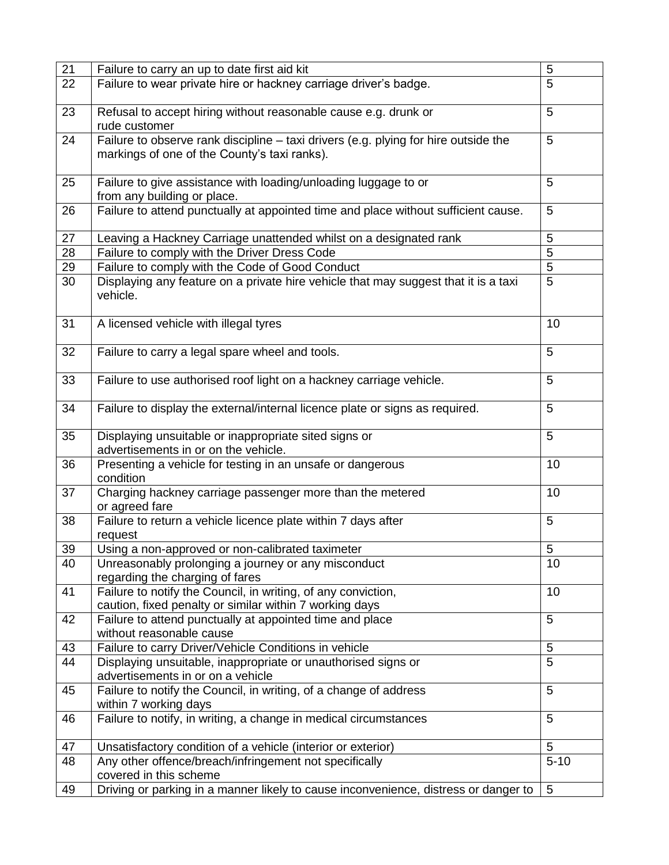| 21 | Failure to carry an up to date first aid kit                                        | 5              |
|----|-------------------------------------------------------------------------------------|----------------|
| 22 | Failure to wear private hire or hackney carriage driver's badge.                    | 5              |
|    |                                                                                     |                |
| 23 | Refusal to accept hiring without reasonable cause e.g. drunk or                     | 5              |
|    |                                                                                     |                |
|    | rude customer                                                                       |                |
| 24 | Failure to observe rank discipline - taxi drivers (e.g. plying for hire outside the | 5              |
|    | markings of one of the County's taxi ranks).                                        |                |
|    |                                                                                     |                |
| 25 | Failure to give assistance with loading/unloading luggage to or                     | 5              |
|    | from any building or place.                                                         |                |
| 26 | Failure to attend punctually at appointed time and place without sufficient cause.  | 5              |
|    |                                                                                     |                |
| 27 | Leaving a Hackney Carriage unattended whilst on a designated rank                   | 5              |
|    |                                                                                     | 5              |
| 28 | Failure to comply with the Driver Dress Code                                        |                |
| 29 | Failure to comply with the Code of Good Conduct                                     | 5              |
| 30 | Displaying any feature on a private hire vehicle that may suggest that it is a taxi | 5              |
|    | vehicle.                                                                            |                |
|    |                                                                                     |                |
| 31 | A licensed vehicle with illegal tyres                                               | 10             |
|    |                                                                                     |                |
| 32 | Failure to carry a legal spare wheel and tools.                                     | 5              |
|    |                                                                                     |                |
|    |                                                                                     |                |
| 33 | Failure to use authorised roof light on a hackney carriage vehicle.                 | 5              |
|    |                                                                                     |                |
| 34 | Failure to display the external/internal licence plate or signs as required.        | 5              |
|    |                                                                                     |                |
| 35 | Displaying unsuitable or inappropriate sited signs or                               | 5              |
|    | advertisements in or on the vehicle.                                                |                |
| 36 | Presenting a vehicle for testing in an unsafe or dangerous                          | 10             |
|    | condition                                                                           |                |
| 37 | Charging hackney carriage passenger more than the metered                           | 10             |
|    |                                                                                     |                |
|    | or agreed fare                                                                      |                |
| 38 | Failure to return a vehicle licence plate within 7 days after                       | 5              |
|    | request                                                                             |                |
| 39 | Using a non-approved or non-calibrated taximeter                                    | 5              |
| 40 | Unreasonably prolonging a journey or any misconduct                                 | 10             |
|    | regarding the charging of fares                                                     |                |
| 41 | Failure to notify the Council, in writing, of any conviction,                       | 10             |
|    | caution, fixed penalty or similar within 7 working days                             |                |
| 42 | Failure to attend punctually at appointed time and place                            | 5              |
|    | without reasonable cause                                                            |                |
|    |                                                                                     |                |
| 43 | Failure to carry Driver/Vehicle Conditions in vehicle                               | 5              |
| 44 | Displaying unsuitable, inappropriate or unauthorised signs or                       | 5              |
|    | advertisements in or on a vehicle                                                   |                |
| 45 | Failure to notify the Council, in writing, of a change of address                   | 5              |
|    | within 7 working days                                                               |                |
| 46 | Failure to notify, in writing, a change in medical circumstances                    | 5              |
|    |                                                                                     |                |
| 47 | Unsatisfactory condition of a vehicle (interior or exterior)                        | 5              |
| 48 |                                                                                     | $5 - 10$       |
|    | Any other offence/breach/infringement not specifically                              |                |
|    | covered in this scheme                                                              |                |
| 49 | Driving or parking in a manner likely to cause inconvenience, distress or danger to | $\overline{5}$ |